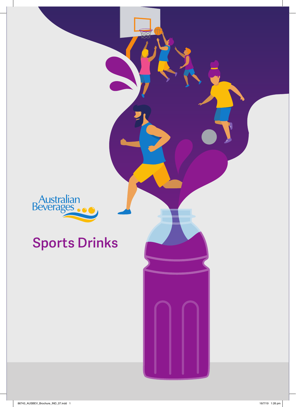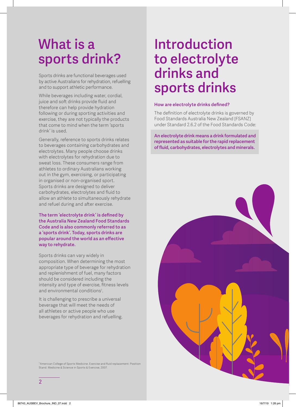# **What is a sports drink?**

Sports drinks are functional beverages used by active Australians for rehydration, refuelling and to support athletic performance.

While beverages including water, cordial, juice and soft drinks provide fluid and therefore can help provide hydration following or during sporting activities and exercise, they are not typically the products that come to mind when the term 'sports drink' is used.

Generally, reference to sports drinks relates to beverages containing carbohydrates and electrolytes. Many people choose drinks with electrolytes for rehydration due to sweat loss. These consumers range from athletes to ordinary Australians working out in the gym, exercising, or participating in organised or non-organised sport. Sports drinks are designed to deliver carbohydrates, electrolytes and fluid to allow an athlete to simultaneously rehydrate and refuel during and after exercise.

**The term 'electrolyte drink' is defined by the Australia New Zealand Food Standards Code and is also commonly referred to as a 'sports drink'. Today, sports drinks are popular around the world as an effective way to rehydrate.** 

Sports drinks can vary widely in composition. When determining the most appropriate type of beverage for rehydration and replenishment of fuel, many factors should be considered including the intensity and type of exercise, fitness levels and environmental conditions<sup>1</sup>.

It is challenging to prescribe a universal beverage that will meet the needs of all athletes or active people who use beverages for rehydration and refuelling.

<sup>1</sup> American College of Sports Medicine. Exercise and fluid replacement: Position Stand. Medicine & Science in Sports & Exercise, 2007.

# **Introduction to electrolyte drinks and sports drinks**

## **How are electrolyte drinks defined?**

The definition of electrolyte drinks is governed by Food Standards Australia New Zealand [FSANZ] under Standard 2.6.2 of the Food Standards Code:

**An electrolyte drink means a drink formulated and represented as suitable for the rapid replacement of fluid, carbohydrates, electrolytes and minerals.**

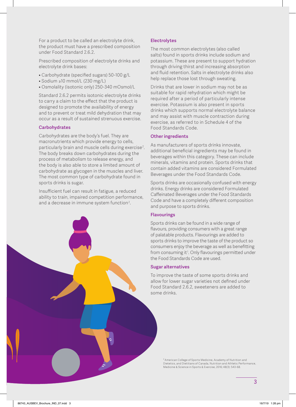For a product to be called an electrolyte drink, the product must have a prescribed composition under Food Standard 2.6.2.

Prescribed composition of electrolyte drinks and electrolyte drink bases:

- Carbohydrate (specified sugars) 50-100 g/L
- Sodium ≥10 mmol/L (230 mg/L)
- Osmolality (isotonic only) 250-340 mOsmol/L

Standard 2.6.2 permits isotonic electrolyte drinks to carry a claim to the effect that the product is designed to promote the availability of energy and to prevent or treat mild dehydration that may occur as a result of sustained strenuous exercise.

#### **Carbohydrates**

Carbohydrates are the body's fuel. They are macronutrients which provide energy to cells, particularly brain and muscle cells during exercise<sup>2</sup>. The body breaks down carbohydrates during the process of metabolism to release energy, and the body is also able to store a limited amount of carbohydrate as glycogen in the muscles and liver. The most common type of carbohydrate found in sports drinks is sugar.

Insufficient fuel can result in fatigue, a reduced ability to train, impaired competition performance, and a decrease in immune system function $^2$ .



#### **Electrolytes**

The most common electrolytes (also called salts) found in sports drinks include sodium and potassium. These are present to support hydration through driving thirst and increasing absorption and fluid retention. Salts in electrolyte drinks also help replace those lost through sweating.

Drinks that are lower in sodium may not be as suitable for rapid rehydration which might be required after a period of particularly intense exercise. Potassium is also present in sports drinks which supports normal electrolyte balance and may assist with muscle contraction during exercise, as referred to in Schedule 4 of the Food Standards Code.

#### **Other ingredients**

As manufacturers of sports drinks innovate, additional beneficial ingredients may be found in beverages within this category. These can include minerals, vitamins and protein. Sports drinks that contain added vitamins are considered Formulated Beverages under the Food Standards Code.

Sports drinks are occasionally confused with energy drinks. Energy drinks are considered Formulated Caffeinated Beverages under the Food Standards Code and have a completely different composition and purpose to sports drinks.

#### **Flavourings**

Sports drinks can be found in a wide range of flavours, providing consumers with a great range of palatable products. Flavourings are added to sports drinks to improve the taste of the product so consumers enjoy the beverage as well as benefitting from consuming it1 . Only flavourings permitted under the Food Standards Code are used.

#### **Sugar alternatives**

To improve the taste of some sports drinks and allow for lower sugar varieties not defined under Food Standard 2.6.2, sweeteners are added to some drinks.

> <sup>2</sup> American College of Sports Medicine, Academy of Nutrition and Dietetics, and Dietitians of Canada, Nutrition and Athletic Performance, Medicine & Science in Sports & Exercise, 2016; 48(3): 543-68.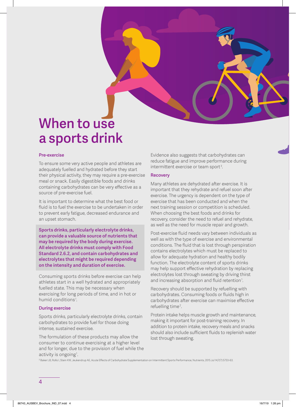

## **When to use a sports drink**

#### **Pre-exercise**

To ensure some very active people and athletes are adequately fuelled and hydrated before they start their physical activity, they may require a pre-exercise meal or snack. Easily digestible foods and drinks containing carbohydrates can be very effective as a source of pre-exercise fuel.

It is important to determine what the best food or fluid is to fuel the exercise to be undertaken in order to prevent early fatigue, decreased endurance and an upset stomach.

**Sports drinks, particularly electrolyte drinks, can provide a valuable source of nutrients that may be required by the body during exercise. All electrolyte drinks must comply with Food Standard 2.6.2, and contain carbohydrates and electrolytes that might be required depending on the intensity and duration of exercise.** 

Consuming sports drinks before exercise can help athletes start in a well hydrated and appropriately fuelled state. This may be necessary when exercising for long periods of time, and in hot or humid conditions<sup>1</sup>.

#### **During exercise**

Sports drinks, particularly electrolyte drinks, contain carbohydrates to provide fuel for those doing intense, sustained exercise.

The formulation of these products may allow the consumer to continue exercising at a higher level and for longer, due to the provision of fuel while the activity is ongoing<sup>1</sup>.

Evidence also suggests that carbohydrates can reduce fatigue and improve performance during intermittent exercise or team sport $^{\rm 3}$ .

#### **Recovery**

Many athletes are dehydrated after exercise. It is important that they rehydrate and refuel soon after exercise. The urgency is dependent on the type of exercise that has been conducted and when the next training session or competition is scheduled. When choosing the best foods and drinks for recovery, consider the need to refuel and rehydrate, as well as the need for muscle repair and growth.

Post-exercise fluid needs vary between individuals as well as with the type of exercise and environmental conditions. The fluid that is lost through perspiration contains electrolytes which must be replaced to allow for adequate hydration and healthy bodily function. The electrolyte content of sports drinks may help support effective rehydration by replacing electrolytes lost through sweating by driving thirst and increasing absorption and fluid retention<sup>1</sup>.

Recovery should be supported by refuelling with carbohydrates. Consuming foods or fluids high in carbohydrates after exercise can maximise effective refuelling time<sup>2</sup>.

Protein intake helps muscle growth and maintenance, making it important for post-training recovery. In addition to protein intake, recovery meals and snacks should also include sufficient fluids to replenish water lost through sweating.

3 Baker LB, Rollo I, Stein KW, Jeukendrup AE, Acute Effects of Carbohydrate Supplementation on Intermittent Sports Performance, Nutrients, 2015 Jul 14;7(7):5733-63.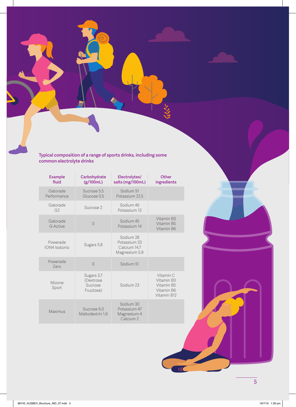**Typical composition of a range of sports drinks, including some common electrolyte drinks**

| <b>Example</b><br>fluid   | Carbohydrate<br>(g/100mL)                       | Electrolytes/<br>salts (mg/100mL)                                | Other<br>ingredients                                               |
|---------------------------|-------------------------------------------------|------------------------------------------------------------------|--------------------------------------------------------------------|
| Gatorade<br>Performance   | Sucrose 5.5<br>Glucose 0.5                      | Sodium 51<br>Potassium 22.5                                      |                                                                    |
| Gatorade<br>G2            | Sucrose 2                                       | Sodium 46<br>Potassium 13                                        |                                                                    |
| Gatorade<br>G-Active      | $\bigcap$                                       | Sodium 45<br>Potassium 14                                        | Vitamin B3<br>Vitamin B5<br>Vitamin B6                             |
| Powerade<br>ION4 Isotonic | Sugars 5.8                                      | Sodium 28<br>Potassium 33<br>Calcium 14.7<br>Magnesium 5.9       |                                                                    |
| Powerade<br>7ero          | $\bigcirc$                                      | Sodium 51                                                        |                                                                    |
| Mizone<br>Sport           | Sugars 3.7<br>(Dextrose<br>Sucrose<br>Fructose) | Sodium 23                                                        | Vitamin C<br>Vitamin B3<br>Vitamin B5<br>Vitamin B6<br>Vitamin B12 |
| Maximus                   | Sucrose 6.0<br>Maltodextrin 1.6                 | Sodium 30<br>Potassium 47<br>Magnesium 4<br>Calcium <sub>2</sub> |                                                                    |

IIIC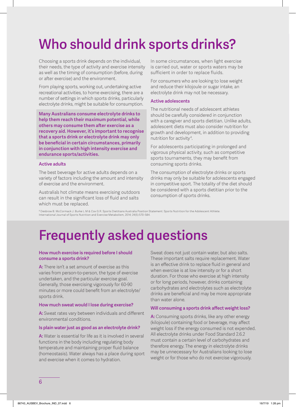# **Who should drink sports drinks?**

Choosing a sports drink depends on the individual, their needs, the type of activity and exercise intensity as well as the timing of consumption (before, during or after exercise) and the environment.

From playing sports, working out, undertaking active recreational activities, to home exercising, there are a number of settings in which sports drinks, particularly electrolyte drinks, might be suitable for consumption.

**Many Australians consume electrolyte drinks to help them reach their maximum potential, while others may consume them after exercise as a recovery aid. However, it's important to recognise that a sports drink or electrolyte drink may only be beneficial in certain circumstances, primarily in conjunction with high intensity exercise and endurance sports/activities.**

#### **Active adults**

The best beverage for active adults depends on a variety of factors including the amount and intensity of exercise and the environment.

Australia's hot climate means exercising outdoors can result in the significant loss of fluid and salts which must be replaced.

In some circumstances, when light exercise is carried out, water or sports waters may be sufficient in order to replace fluids.

For consumers who are looking to lose weight and reduce their kilojoule or sugar intake, an electrolyte drink may not be necessary.

#### **Active adolescents**

The nutritional needs of adolescent athletes should be carefully considered in conjunction with a caregiver and sports dietitian. Unlike adults, adolescent diets must also consider nutrition for growth and development, in addition to providing nutrition for activity<sup>4</sup>.

For adolescents participating in prolonged and vigorous physical activity, such as competitive sports tournaments, they may benefit from consuming sports drinks.

The consumption of electrolyte drinks or sports drinks may only be suitable for adolescents engaged in competitive sport. The totality of the diet should be considered with a sports dietitian prior to the consumption of sports drinks.

4 Desbrow B. McCormack J. Burke L.M & Cox G.R. Sports Dietitians Australia Position Statement: Sports Nutrition for the Adolescent Athlete. International Journal of Sports Nutrition and Exercise Metabolism, 2014; 24(5):570-584.

# **Frequently asked questions**

#### **How much exercise is required before I should consume a sports drink?**

**A:** There isn't a set amount of exercise as this varies from person-to-person, the type of exercise undertaken, and the particular exercise goal. Generally, those exercising vigorously for 60-90 minutes or more could benefit from an electrolyte/ sports drink.

#### **How much sweat would I lose during exercise?**

**A:** Sweat rates vary between individuals and different environmental conditions.

#### **Is plain water just as good as an electrolyte drink?**

**A:** Water is essential for life as it is involved in several functions in the body including regulating body temperature and maintaining proper fluid balance (homeostasis). Water always has a place during sport and exercise when it comes to hydration.

Sweat does not just contain water, but also salts. These important salts require replacement. Water is an effective drink to replace fluid in general and when exercise is at low intensity or for a short duration. For those who exercise at high intensity or for long periods, however, drinks containing carbohydrates and electrolytes such as electrolyte drinks are beneficial and may be more appropriate than water alone.

#### **Will consuming a sports drink affect weight loss?**

A: Consuming sports drinks, like any other energy (kilojoule) containing food or beverage, may affect weight loss if the energy consumed is not expended. All electrolyte drinks under Food Standard 2.6.2 must contain a certain level of carbohydrates and therefore energy. The energy in electrolyte drinks may be unnecessary for Australians looking to lose weight or for those who do not exercise vigorously.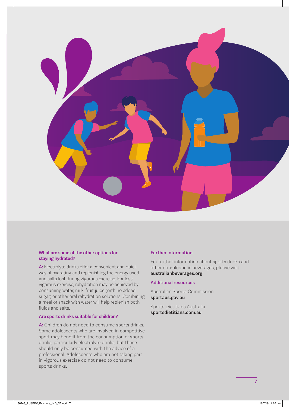

## **What are some of the other options for staying hydrated?**

**A:** Electrolyte drinks offer a convenient and quick way of hydrating and replenishing the energy used and salts lost during vigorous exercise. For less vigorous exercise, rehydration may be achieved by consuming water, milk, fruit juice (with no added sugar) or other oral rehydration solutions. Combining a meal or snack with water will help replenish both fluids and salts.

## **Are sports drinks suitable for children?**

**A:** Children do not need to consume sports drinks. Some adolescents who are involved in competitive sport may benefit from the consumption of sports drinks, particularly electrolyte drinks, but these should only be consumed with the advice of a professional. Adolescents who are not taking part in vigorous exercise do not need to consume sports drinks.

## **Further information**

For further information about sports drinks and other non-alcoholic beverages, please visit **australianbeverages.org** 

#### **Additional resources**

Australian Sports Commission **sportaus.gov.au** 

Sports Dietitians Australia **sportsdietitians.com.au**